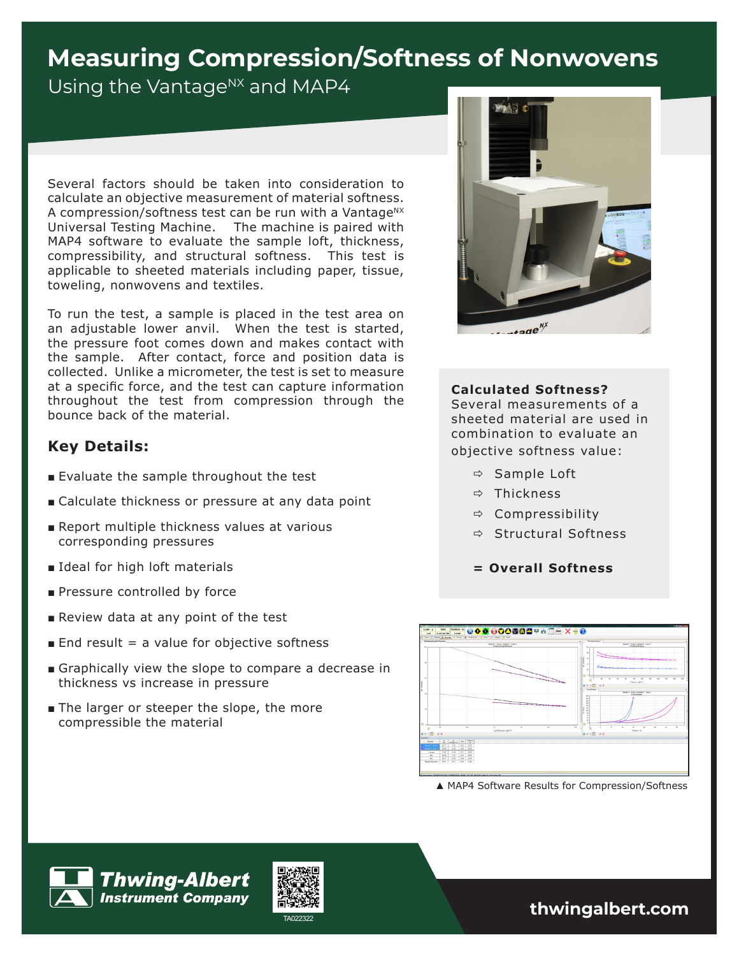# **Measuring Compression/Softness of Nonwovens**

Using the Vantage<sup>NX</sup> and MAP4

Several factors should be taken into consideration to calculate an objective measurement of material softness. A compression/softness test can be run with a Vantage<sup>NX</sup> Universal Testing Machine. The machine is paired with MAP4 software to evaluate the sample loft, thickness, compressibility, and structural softness. This test is applicable to sheeted materials including paper, tissue, toweling, nonwovens and textiles.

To run the test, a sample is placed in the test area on an adjustable lower anvil. When the test is started, the pressure foot comes down and makes contact with the sample. After contact, force and position data is collected. Unlike a micrometer, the test is set to measure at a specific force, and the test can capture information throughout the test from compression through the bounce back of the material.

# **Key Details:**

- Evaluate the sample throughout the test
- Calculate thickness or pressure at any data point
- Report multiple thickness values at various corresponding pressures
- Ideal for high loft materials
- Pressure controlled by force
- Review data at any point of the test
- $\blacksquare$  End result = a value for objective softness
- Graphically view the slope to compare a decrease in thickness vs increase in pressure
- The larger or steeper the slope, the more compressible the material



#### **Calculated Softness?**

Several measurements of a sheeted material are used in combination to evaluate an objective softness value:

- $\Rightarrow$  Sample Loft
- $\Rightarrow$  Thickness
- $\Rightarrow$  Compressibility
- $\Rightarrow$  Structural Softness
- **= Overall Softness**



**▲** MAP4 Software Results for Compression/Softness



TA022322 **thwingalbert.com**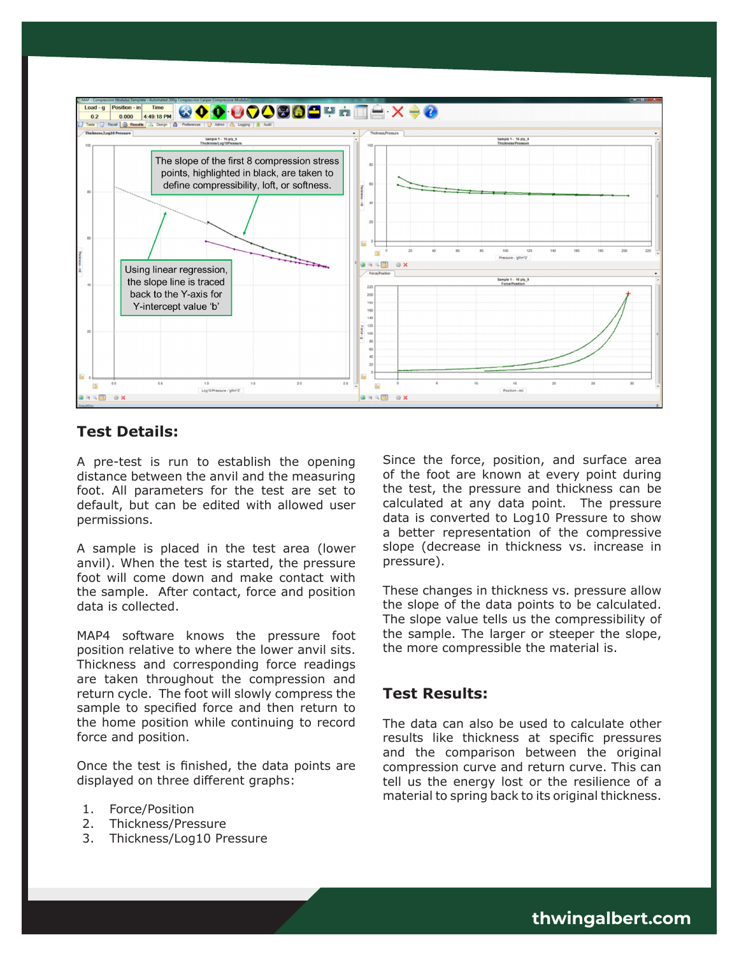

## **Test Details:**

A pre-test is run to establish the opening distance between the anvil and the measuring foot. All parameters for the test are set to default, but can be edited with allowed user permissions.

A sample is placed in the test area (lower anvil). When the test is started, the pressure foot will come down and make contact with the sample. After contact, force and position data is collected.

MAP4 software knows the pressure foot position relative to where the lower anvil sits. Thickness and corresponding force readings are taken throughout the compression and return cycle. The foot will slowly compress the sample to specified force and then return to the home position while continuing to record force and position.

Once the test is finished, the data points are displayed on three different graphs:

- 1. Force/Position
- 2. Thickness/Pressure
- 3. Thickness/Log10 Pressure

Since the force, position, and surface area of the foot are known at every point during the test, the pressure and thickness can be calculated at any data point. The pressure data is converted to Log10 Pressure to show a better representation of the compressive slope (decrease in thickness vs. increase in pressure).

These changes in thickness vs. pressure allow the slope of the data points to be calculated. The slope value tells us the compressibility of the sample. The larger or steeper the slope, the more compressible the material is.

## **Test Results:**

The data can also be used to calculate other results like thickness at specific pressures and the comparison between the original compression curve and return curve. This can tell us the energy lost or the resilience of a material to spring back to its original thickness.